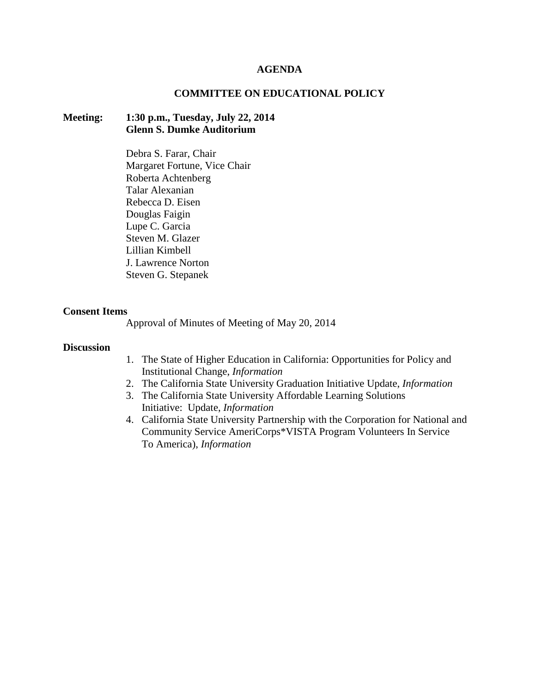#### **AGENDA**

### **COMMITTEE ON EDUCATIONAL POLICY**

## **Meeting: 1:30 p.m., Tuesday, July 22, 2014 Glenn S. Dumke Auditorium**

Debra S. Farar, Chair Margaret Fortune, Vice Chair Roberta Achtenberg Talar Alexanian Rebecca D. Eisen Douglas Faigin Lupe C. Garcia Steven M. Glazer Lillian Kimbell J. Lawrence Norton Steven G. Stepanek

#### **Consent Items**

Approval of Minutes of Meeting of May 20, 2014

### **Discussion**

- 1. The State of Higher Education in California: Opportunities for Policy and Institutional Change, *Information*
- 2. The California State University Graduation Initiative Update, *Information*
- 3. The California State University Affordable Learning Solutions Initiative: Update, *Information*
- 4. California State University Partnership with the Corporation for National and Community Service AmeriCorps\*VISTA Program Volunteers In Service To America), *Information*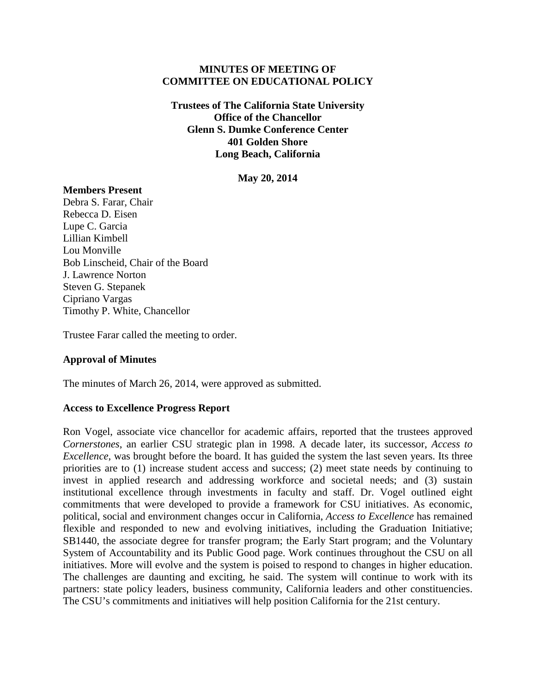### **MINUTES OF MEETING OF COMMITTEE ON EDUCATIONAL POLICY**

**Trustees of The California State University Office of the Chancellor Glenn S. Dumke Conference Center 401 Golden Shore Long Beach, California**

**May 20, 2014**

## **Members Present**

Debra S. Farar, Chair Rebecca D. Eisen Lupe C. Garcia Lillian Kimbell Lou Monville Bob Linscheid, Chair of the Board J. Lawrence Norton Steven G. Stepanek Cipriano Vargas Timothy P. White, Chancellor

Trustee Farar called the meeting to order.

## **Approval of Minutes**

The minutes of March 26, 2014, were approved as submitted.

## **Access to Excellence Progress Report**

Ron Vogel, associate vice chancellor for academic affairs, reported that the trustees approved *Cornerstones*, an earlier CSU strategic plan in 1998. A decade later, its successor, *Access to Excellence*, was brought before the board. It has guided the system the last seven years. Its three priorities are to (1) increase student access and success; (2) meet state needs by continuing to invest in applied research and addressing workforce and societal needs; and (3) sustain institutional excellence through investments in faculty and staff. Dr. Vogel outlined eight commitments that were developed to provide a framework for CSU initiatives. As economic, political, social and environment changes occur in California, *Access to Excellence* has remained flexible and responded to new and evolving initiatives, including the Graduation Initiative; SB1440, the associate degree for transfer program; the Early Start program; and the Voluntary System of Accountability and its Public Good page. Work continues throughout the CSU on all initiatives. More will evolve and the system is poised to respond to changes in higher education. The challenges are daunting and exciting, he said. The system will continue to work with its partners: state policy leaders, business community, California leaders and other constituencies. The CSU's commitments and initiatives will help position California for the 21st century.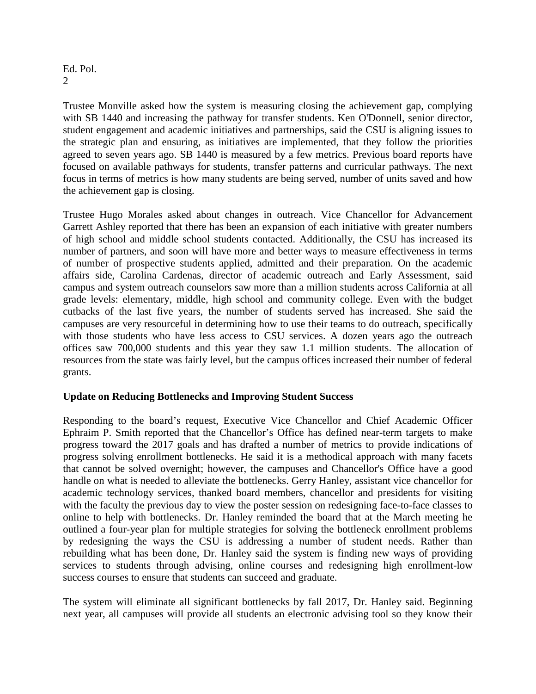## Ed. Pol.  $\mathcal{D}_{\mathcal{L}}$

Trustee Monville asked how the system is measuring closing the achievement gap, complying with SB 1440 and increasing the pathway for transfer students. Ken O'Donnell, senior director, student engagement and academic initiatives and partnerships, said the CSU is aligning issues to the strategic plan and ensuring, as initiatives are implemented, that they follow the priorities agreed to seven years ago. SB 1440 is measured by a few metrics. Previous board reports have focused on available pathways for students, transfer patterns and curricular pathways. The next focus in terms of metrics is how many students are being served, number of units saved and how the achievement gap is closing.

Trustee Hugo Morales asked about changes in outreach. Vice Chancellor for Advancement Garrett Ashley reported that there has been an expansion of each initiative with greater numbers of high school and middle school students contacted. Additionally, the CSU has increased its number of partners, and soon will have more and better ways to measure effectiveness in terms of number of prospective students applied, admitted and their preparation. On the academic affairs side, Carolina Cardenas, director of academic outreach and Early Assessment, said campus and system outreach counselors saw more than a million students across California at all grade levels: elementary, middle, high school and community college. Even with the budget cutbacks of the last five years, the number of students served has increased. She said the campuses are very resourceful in determining how to use their teams to do outreach, specifically with those students who have less access to CSU services. A dozen years ago the outreach offices saw 700,000 students and this year they saw 1.1 million students. The allocation of resources from the state was fairly level, but the campus offices increased their number of federal grants.

# **Update on Reducing Bottlenecks and Improving Student Success**

Responding to the board's request, Executive Vice Chancellor and Chief Academic Officer Ephraim P. Smith reported that the Chancellor's Office has defined near-term targets to make progress toward the 2017 goals and has drafted a number of metrics to provide indications of progress solving enrollment bottlenecks. He said it is a methodical approach with many facets that cannot be solved overnight; however, the campuses and Chancellor's Office have a good handle on what is needed to alleviate the bottlenecks. Gerry Hanley, assistant vice chancellor for academic technology services, thanked board members, chancellor and presidents for visiting with the faculty the previous day to view the poster session on redesigning face-to-face classes to online to help with bottlenecks. Dr. Hanley reminded the board that at the March meeting he outlined a four-year plan for multiple strategies for solving the bottleneck enrollment problems by redesigning the ways the CSU is addressing a number of student needs. Rather than rebuilding what has been done, Dr. Hanley said the system is finding new ways of providing services to students through advising, online courses and redesigning high enrollment-low success courses to ensure that students can succeed and graduate.

The system will eliminate all significant bottlenecks by fall 2017, Dr. Hanley said. Beginning next year, all campuses will provide all students an electronic advising tool so they know their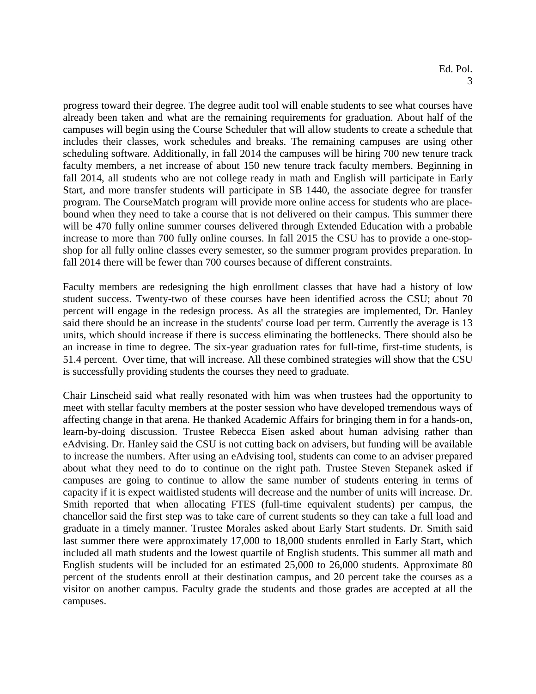progress toward their degree. The degree audit tool will enable students to see what courses have already been taken and what are the remaining requirements for graduation. About half of the campuses will begin using the Course Scheduler that will allow students to create a schedule that includes their classes, work schedules and breaks. The remaining campuses are using other scheduling software. Additionally, in fall 2014 the campuses will be hiring 700 new tenure track faculty members, a net increase of about 150 new tenure track faculty members. Beginning in fall 2014, all students who are not college ready in math and English will participate in Early Start, and more transfer students will participate in SB 1440, the associate degree for transfer program. The CourseMatch program will provide more online access for students who are placebound when they need to take a course that is not delivered on their campus. This summer there will be 470 fully online summer courses delivered through Extended Education with a probable increase to more than 700 fully online courses. In fall 2015 the CSU has to provide a one-stopshop for all fully online classes every semester, so the summer program provides preparation. In fall 2014 there will be fewer than 700 courses because of different constraints.

Faculty members are redesigning the high enrollment classes that have had a history of low student success. Twenty-two of these courses have been identified across the CSU; about 70 percent will engage in the redesign process. As all the strategies are implemented, Dr. Hanley said there should be an increase in the students' course load per term. Currently the average is 13 units, which should increase if there is success eliminating the bottlenecks. There should also be an increase in time to degree. The six-year graduation rates for full-time, first-time students, is 51.4 percent. Over time, that will increase. All these combined strategies will show that the CSU is successfully providing students the courses they need to graduate.

Chair Linscheid said what really resonated with him was when trustees had the opportunity to meet with stellar faculty members at the poster session who have developed tremendous ways of affecting change in that arena. He thanked Academic Affairs for bringing them in for a hands-on, learn-by-doing discussion. Trustee Rebecca Eisen asked about human advising rather than eAdvising. Dr. Hanley said the CSU is not cutting back on advisers, but funding will be available to increase the numbers. After using an eAdvising tool, students can come to an adviser prepared about what they need to do to continue on the right path. Trustee Steven Stepanek asked if campuses are going to continue to allow the same number of students entering in terms of capacity if it is expect waitlisted students will decrease and the number of units will increase. Dr. Smith reported that when allocating FTES (full-time equivalent students) per campus, the chancellor said the first step was to take care of current students so they can take a full load and graduate in a timely manner. Trustee Morales asked about Early Start students. Dr. Smith said last summer there were approximately 17,000 to 18,000 students enrolled in Early Start, which included all math students and the lowest quartile of English students. This summer all math and English students will be included for an estimated 25,000 to 26,000 students. Approximate 80 percent of the students enroll at their destination campus, and 20 percent take the courses as a visitor on another campus. Faculty grade the students and those grades are accepted at all the campuses.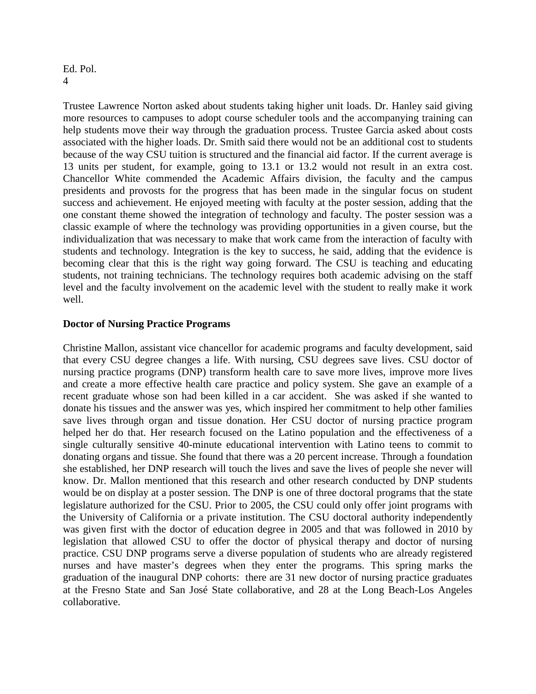### Ed. Pol. 4

Trustee Lawrence Norton asked about students taking higher unit loads. Dr. Hanley said giving more resources to campuses to adopt course scheduler tools and the accompanying training can help students move their way through the graduation process. Trustee Garcia asked about costs associated with the higher loads. Dr. Smith said there would not be an additional cost to students because of the way CSU tuition is structured and the financial aid factor. If the current average is 13 units per student, for example, going to 13.1 or 13.2 would not result in an extra cost. Chancellor White commended the Academic Affairs division, the faculty and the campus presidents and provosts for the progress that has been made in the singular focus on student success and achievement. He enjoyed meeting with faculty at the poster session, adding that the one constant theme showed the integration of technology and faculty. The poster session was a classic example of where the technology was providing opportunities in a given course, but the individualization that was necessary to make that work came from the interaction of faculty with students and technology. Integration is the key to success, he said, adding that the evidence is becoming clear that this is the right way going forward. The CSU is teaching and educating students, not training technicians. The technology requires both academic advising on the staff level and the faculty involvement on the academic level with the student to really make it work well.

## **Doctor of Nursing Practice Programs**

Christine Mallon, assistant vice chancellor for academic programs and faculty development, said that every CSU degree changes a life. With nursing, CSU degrees save lives. CSU doctor of nursing practice programs (DNP) transform health care to save more lives, improve more lives and create a more effective health care practice and policy system. She gave an example of a recent graduate whose son had been killed in a car accident. She was asked if she wanted to donate his tissues and the answer was yes, which inspired her commitment to help other families save lives through organ and tissue donation. Her CSU doctor of nursing practice program helped her do that. Her research focused on the Latino population and the effectiveness of a single culturally sensitive 40-minute educational intervention with Latino teens to commit to donating organs and tissue. She found that there was a 20 percent increase. Through a foundation she established, her DNP research will touch the lives and save the lives of people she never will know. Dr. Mallon mentioned that this research and other research conducted by DNP students would be on display at a poster session. The DNP is one of three doctoral programs that the state legislature authorized for the CSU. Prior to 2005, the CSU could only offer joint programs with the University of California or a private institution. The CSU doctoral authority independently was given first with the doctor of education degree in 2005 and that was followed in 2010 by legislation that allowed CSU to offer the doctor of physical therapy and doctor of nursing practice. CSU DNP programs serve a diverse population of students who are already registered nurses and have master's degrees when they enter the programs. This spring marks the graduation of the inaugural DNP cohorts: there are 31 new doctor of nursing practice graduates at the Fresno State and San José State collaborative, and 28 at the Long Beach-Los Angeles collaborative.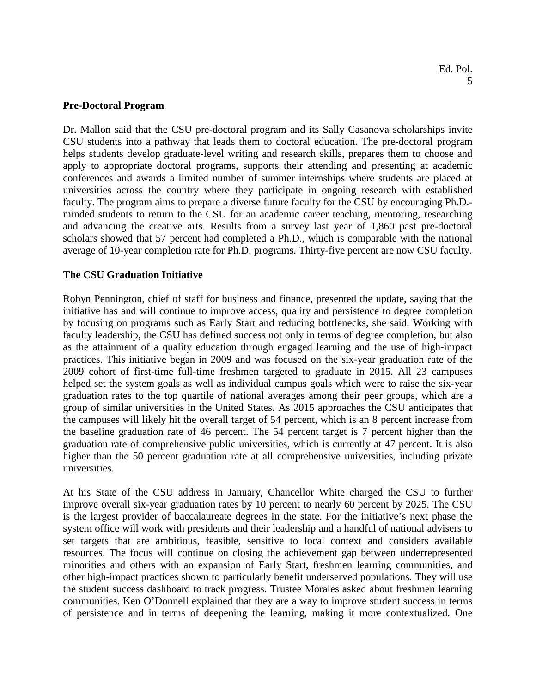### **Pre-Doctoral Program**

Dr. Mallon said that the CSU pre-doctoral program and its Sally Casanova scholarships invite CSU students into a pathway that leads them to doctoral education. The pre-doctoral program helps students develop graduate-level writing and research skills, prepares them to choose and apply to appropriate doctoral programs, supports their attending and presenting at academic conferences and awards a limited number of summer internships where students are placed at universities across the country where they participate in ongoing research with established faculty. The program aims to prepare a diverse future faculty for the CSU by encouraging Ph.D. minded students to return to the CSU for an academic career teaching, mentoring, researching and advancing the creative arts. Results from a survey last year of 1,860 past pre-doctoral scholars showed that 57 percent had completed a Ph.D., which is comparable with the national average of 10-year completion rate for Ph.D. programs. Thirty-five percent are now CSU faculty.

## **The CSU Graduation Initiative**

Robyn Pennington, chief of staff for business and finance, presented the update, saying that the initiative has and will continue to improve access, quality and persistence to degree completion by focusing on programs such as Early Start and reducing bottlenecks, she said. Working with faculty leadership, the CSU has defined success not only in terms of degree completion, but also as the attainment of a quality education through engaged learning and the use of high-impact practices. This initiative began in 2009 and was focused on the six-year graduation rate of the 2009 cohort of first-time full-time freshmen targeted to graduate in 2015. All 23 campuses helped set the system goals as well as individual campus goals which were to raise the six-year graduation rates to the top quartile of national averages among their peer groups, which are a group of similar universities in the United States. As 2015 approaches the CSU anticipates that the campuses will likely hit the overall target of 54 percent, which is an 8 percent increase from the baseline graduation rate of 46 percent. The 54 percent target is 7 percent higher than the graduation rate of comprehensive public universities, which is currently at 47 percent. It is also higher than the 50 percent graduation rate at all comprehensive universities, including private universities.

At his State of the CSU address in January, Chancellor White charged the CSU to further improve overall six-year graduation rates by 10 percent to nearly 60 percent by 2025. The CSU is the largest provider of baccalaureate degrees in the state. For the initiative's next phase the system office will work with presidents and their leadership and a handful of national advisers to set targets that are ambitious, feasible, sensitive to local context and considers available resources. The focus will continue on closing the achievement gap between underrepresented minorities and others with an expansion of Early Start, freshmen learning communities, and other high-impact practices shown to particularly benefit underserved populations. They will use the student success dashboard to track progress. Trustee Morales asked about freshmen learning communities. Ken O'Donnell explained that they are a way to improve student success in terms of persistence and in terms of deepening the learning, making it more contextualized. One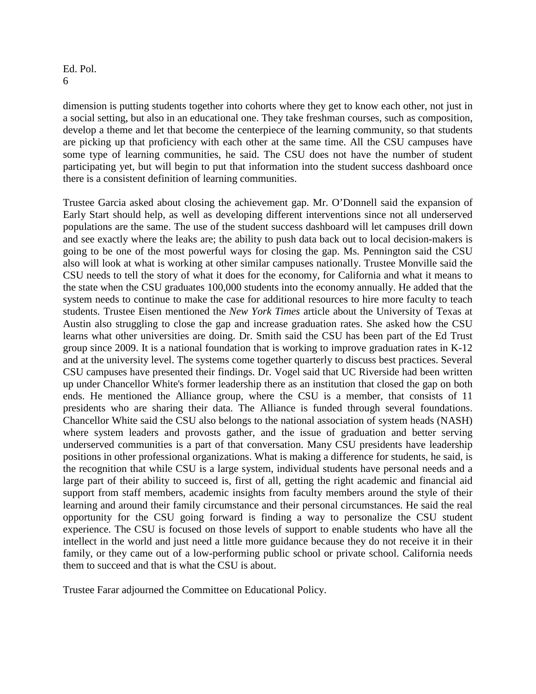## Ed. Pol. 6

dimension is putting students together into cohorts where they get to know each other, not just in a social setting, but also in an educational one. They take freshman courses, such as composition, develop a theme and let that become the centerpiece of the learning community, so that students are picking up that proficiency with each other at the same time. All the CSU campuses have some type of learning communities, he said. The CSU does not have the number of student participating yet, but will begin to put that information into the student success dashboard once there is a consistent definition of learning communities.

Trustee Garcia asked about closing the achievement gap. Mr. O'Donnell said the expansion of Early Start should help, as well as developing different interventions since not all underserved populations are the same. The use of the student success dashboard will let campuses drill down and see exactly where the leaks are; the ability to push data back out to local decision-makers is going to be one of the most powerful ways for closing the gap. Ms. Pennington said the CSU also will look at what is working at other similar campuses nationally. Trustee Monville said the CSU needs to tell the story of what it does for the economy, for California and what it means to the state when the CSU graduates 100,000 students into the economy annually. He added that the system needs to continue to make the case for additional resources to hire more faculty to teach students. Trustee Eisen mentioned the *New York Times* article about the University of Texas at Austin also struggling to close the gap and increase graduation rates. She asked how the CSU learns what other universities are doing. Dr. Smith said the CSU has been part of the Ed Trust group since 2009. It is a national foundation that is working to improve graduation rates in K-12 and at the university level. The systems come together quarterly to discuss best practices. Several CSU campuses have presented their findings. Dr. Vogel said that UC Riverside had been written up under Chancellor White's former leadership there as an institution that closed the gap on both ends. He mentioned the Alliance group, where the CSU is a member, that consists of 11 presidents who are sharing their data. The Alliance is funded through several foundations. Chancellor White said the CSU also belongs to the national association of system heads (NASH) where system leaders and provosts gather, and the issue of graduation and better serving underserved communities is a part of that conversation. Many CSU presidents have leadership positions in other professional organizations. What is making a difference for students, he said, is the recognition that while CSU is a large system, individual students have personal needs and a large part of their ability to succeed is, first of all, getting the right academic and financial aid support from staff members, academic insights from faculty members around the style of their learning and around their family circumstance and their personal circumstances. He said the real opportunity for the CSU going forward is finding a way to personalize the CSU student experience. The CSU is focused on those levels of support to enable students who have all the intellect in the world and just need a little more guidance because they do not receive it in their family, or they came out of a low-performing public school or private school. California needs them to succeed and that is what the CSU is about.

Trustee Farar adjourned the Committee on Educational Policy.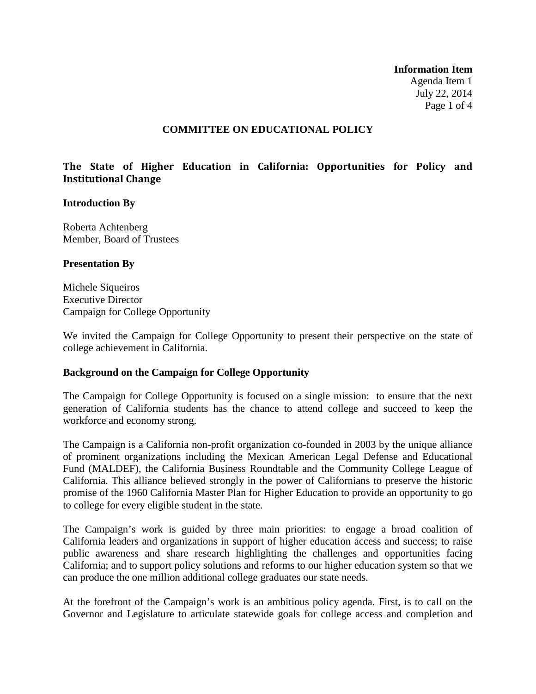**Information Item** Agenda Item 1 July 22, 2014 Page 1 of 4

### **COMMITTEE ON EDUCATIONAL POLICY**

## **The State of Higher Education in California: Opportunities for Policy and Institutional Change**

### **Introduction By**

Roberta Achtenberg Member, Board of Trustees

### **Presentation By**

Michele Siqueiros Executive Director Campaign for College Opportunity

We invited the Campaign for College Opportunity to present their perspective on the state of college achievement in California.

### **Background on the Campaign for College Opportunity**

The Campaign for College Opportunity is focused on a single mission: to ensure that the next generation of California students has the chance to attend college and succeed to keep the workforce and economy strong.

The Campaign is a California non-profit organization co-founded in 2003 by the unique alliance of prominent organizations including the Mexican American Legal Defense and Educational Fund (MALDEF), the California Business Roundtable and the Community College League of California. This alliance believed strongly in the power of Californians to preserve the historic promise of the 1960 California Master Plan for Higher Education to provide an opportunity to go to college for every eligible student in the state.

The Campaign's work is guided by three main priorities: to engage a broad coalition of California leaders and organizations in support of higher education access and success; to raise public awareness and share research highlighting the challenges and opportunities facing California; and to support policy solutions and reforms to our higher education system so that we can produce the one million additional college graduates our state needs.

At the forefront of the Campaign's work is an ambitious policy agenda. First, is to call on the Governor and Legislature to articulate statewide goals for college access and completion and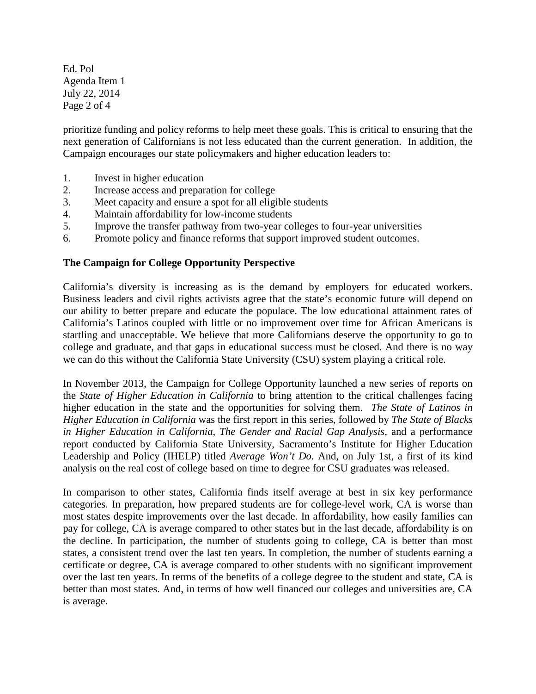Ed. Pol Agenda Item 1 July 22, 2014 Page 2 of 4

prioritize funding and policy reforms to help meet these goals. This is critical to ensuring that the next generation of Californians is not less educated than the current generation. In addition, the Campaign encourages our state policymakers and higher education leaders to:

- 1. Invest in higher education
- 2. Increase access and preparation for college
- 3. Meet capacity and ensure a spot for all eligible students
- 4. Maintain affordability for low-income students
- 5. Improve the transfer pathway from two-year colleges to four-year universities
- 6. Promote policy and finance reforms that support improved student outcomes.

## **The Campaign for College Opportunity Perspective**

California's diversity is increasing as is the demand by employers for educated workers. Business leaders and civil rights activists agree that the state's economic future will depend on our ability to better prepare and educate the populace. The low educational attainment rates of California's Latinos coupled with little or no improvement over time for African Americans is startling and unacceptable. We believe that more Californians deserve the opportunity to go to college and graduate, and that gaps in educational success must be closed. And there is no way we can do this without the California State University (CSU) system playing a critical role.

In November 2013, the Campaign for College Opportunity launched a new series of reports on the *State of Higher Education in California* to bring attention to the critical challenges facing higher education in the state and the opportunities for solving them. *The State of Latinos in Higher Education in California* was the first report in this series, followed by *The State of Blacks in Higher Education in California, The Gender and Racial Gap Analysis,* and a performance report conducted by California State University, Sacramento's Institute for Higher Education Leadership and Policy (IHELP) titled *Average Won't Do.* And, on July 1st, a first of its kind analysis on the real cost of college based on time to degree for CSU graduates was released.

In comparison to other states, California finds itself average at best in six key performance categories. In preparation, how prepared students are for college-level work, CA is worse than most states despite improvements over the last decade. In affordability, how easily families can pay for college, CA is average compared to other states but in the last decade, affordability is on the decline. In participation, the number of students going to college, CA is better than most states, a consistent trend over the last ten years. In completion, the number of students earning a certificate or degree, CA is average compared to other students with no significant improvement over the last ten years. In terms of the benefits of a college degree to the student and state, CA is better than most states. And, in terms of how well financed our colleges and universities are, CA is average.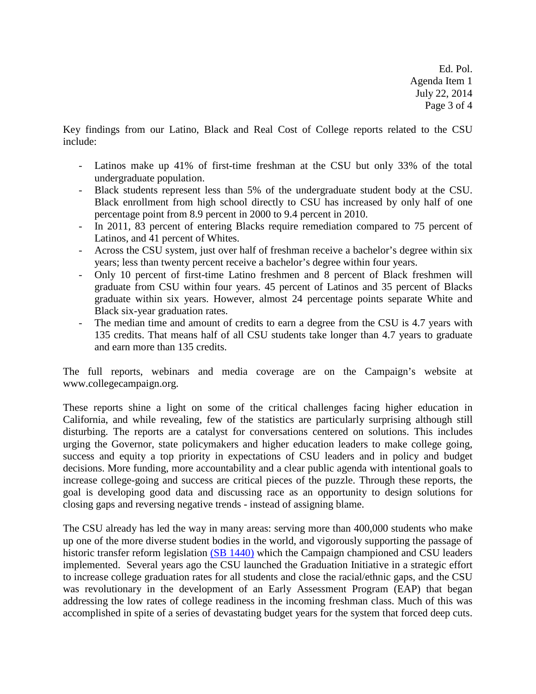Ed. Pol. Agenda Item 1 July 22, 2014 Page 3 of 4

Key findings from our Latino, Black and Real Cost of College reports related to the CSU include:

- Latinos make up 41% of first-time freshman at the CSU but only 33% of the total undergraduate population.
- Black students represent less than 5% of the undergraduate student body at the CSU. Black enrollment from high school directly to CSU has increased by only half of one percentage point from 8.9 percent in 2000 to 9.4 percent in 2010.
- In 2011, 83 percent of entering Blacks require remediation compared to 75 percent of Latinos, and 41 percent of Whites.
- Across the CSU system, just over half of freshman receive a bachelor's degree within six years; less than twenty percent receive a bachelor's degree within four years.
- Only 10 percent of first-time Latino freshmen and 8 percent of Black freshmen will graduate from CSU within four years. 45 percent of Latinos and 35 percent of Blacks graduate within six years. However, almost 24 percentage points separate White and Black six-year graduation rates.
- The median time and amount of credits to earn a degree from the CSU is 4.7 years with 135 credits. That means half of all CSU students take longer than 4.7 years to graduate and earn more than 135 credits.

The full reports, webinars and media coverage are on the Campaign's website at www.collegecampaign.org.

These reports shine a light on some of the critical challenges facing higher education in California, and while revealing, few of the statistics are particularly surprising although still disturbing. The reports are a catalyst for conversations centered on solutions. This includes urging the Governor, state policymakers and higher education leaders to make college going, success and equity a top priority in expectations of CSU leaders and in policy and budget decisions. More funding, more accountability and a clear public agenda with intentional goals to increase college-going and success are critical pieces of the puzzle. Through these reports, the goal is developing good data and discussing race as an opportunity to design solutions for closing gaps and reversing negative trends - instead of assigning blame.

The CSU already has led the way in many areas: serving more than 400,000 students who make up one of the more diverse student bodies in the world, and vigorously supporting the passage of historic transfer reform legislation [\(SB 1440\)](http://www.collegecampaign.org/policy-priorities/transfer-pathway-reform/) which the Campaign championed and CSU leaders implemented. Several years ago the CSU launched the Graduation Initiative in a strategic effort to increase college graduation rates for all students and close the racial/ethnic gaps, and the CSU was revolutionary in the development of an Early Assessment Program (EAP) that began addressing the low rates of college readiness in the incoming freshman class. Much of this was accomplished in spite of a series of devastating budget years for the system that forced deep cuts.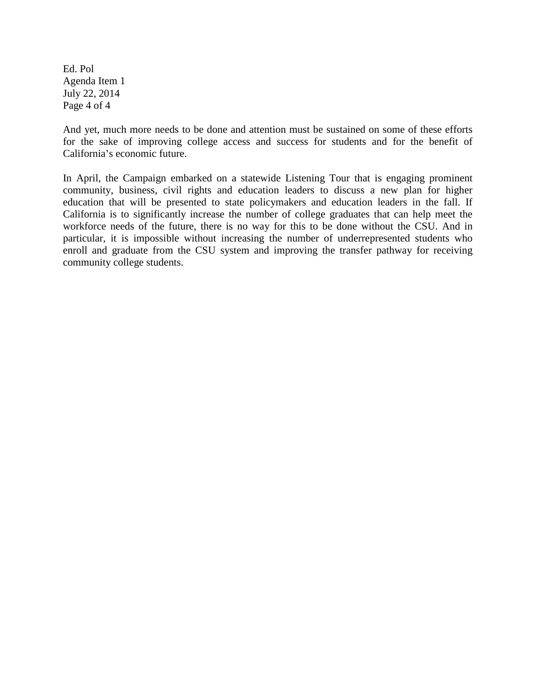Ed. Pol Agenda Item 1 July 22, 2014 Page 4 of 4

And yet, much more needs to be done and attention must be sustained on some of these efforts for the sake of improving college access and success for students and for the benefit of California's economic future.

In April, the Campaign embarked on a statewide Listening Tour that is engaging prominent community, business, civil rights and education leaders to discuss a new plan for higher education that will be presented to state policymakers and education leaders in the fall. If California is to significantly increase the number of college graduates that can help meet the workforce needs of the future, there is no way for this to be done without the CSU. And in particular, it is impossible without increasing the number of underrepresented students who enroll and graduate from the CSU system and improving the transfer pathway for receiving community college students.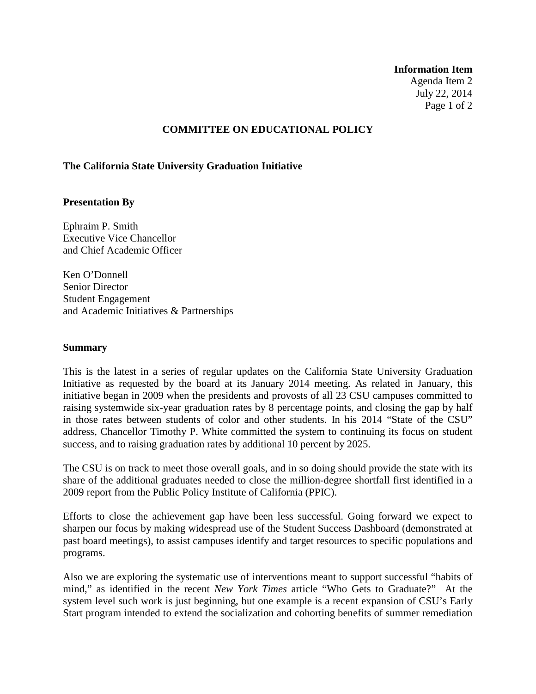#### **Information Item**

Agenda Item 2 July 22, 2014 Page 1 of 2

### **COMMITTEE ON EDUCATIONAL POLICY**

### **The California State University Graduation Initiative**

### **Presentation By**

Ephraim P. Smith Executive Vice Chancellor and Chief Academic Officer

Ken O'Donnell Senior Director Student Engagement and Academic Initiatives & Partnerships

#### **Summary**

This is the latest in a series of regular updates on the California State University Graduation Initiative as requested by the board at its January 2014 meeting. As related in January, this initiative began in 2009 when the presidents and provosts of all 23 CSU campuses committed to raising systemwide six-year graduation rates by 8 percentage points, and closing the gap by half in those rates between students of color and other students. In his 2014 "State of the CSU" address, Chancellor Timothy P. White committed the system to continuing its focus on student success, and to raising graduation rates by additional 10 percent by 2025.

The CSU is on track to meet those overall goals, and in so doing should provide the state with its share of the additional graduates needed to close the million-degree shortfall first identified in a 2009 report from the Public Policy Institute of California (PPIC).

Efforts to close the achievement gap have been less successful. Going forward we expect to sharpen our focus by making widespread use of the Student Success Dashboard (demonstrated at past board meetings), to assist campuses identify and target resources to specific populations and programs.

Also we are exploring the systematic use of interventions meant to support successful "habits of mind," as identified in the recent *New York Times* article "Who Gets to Graduate?" At the system level such work is just beginning, but one example is a recent expansion of CSU's Early Start program intended to extend the socialization and cohorting benefits of summer remediation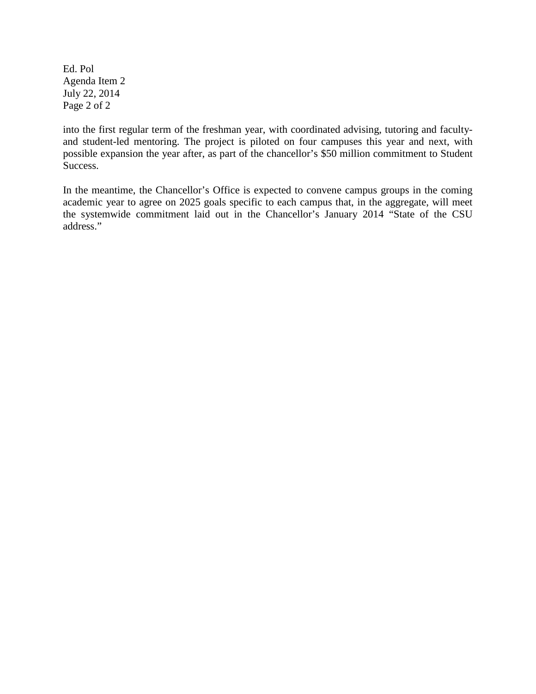Ed. Pol Agenda Item 2 July 22, 2014 Page 2 of 2

into the first regular term of the freshman year, with coordinated advising, tutoring and facultyand student-led mentoring. The project is piloted on four campuses this year and next, with possible expansion the year after, as part of the chancellor's \$50 million commitment to Student Success.

In the meantime, the Chancellor's Office is expected to convene campus groups in the coming academic year to agree on 2025 goals specific to each campus that, in the aggregate, will meet the systemwide commitment laid out in the Chancellor's January 2014 "State of the CSU address."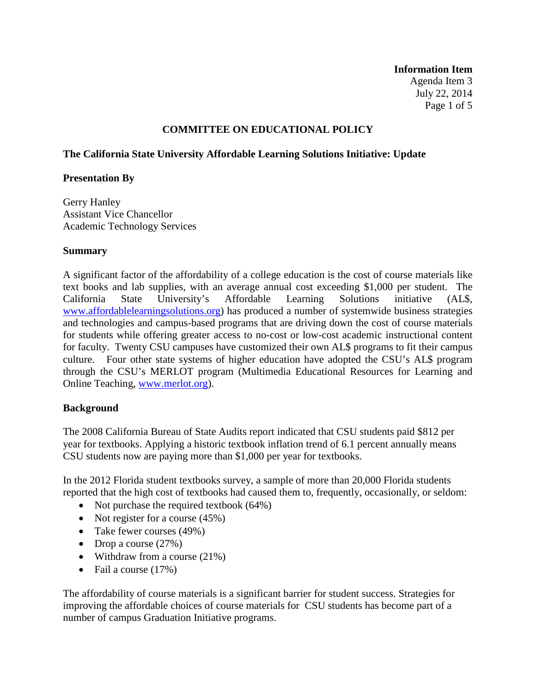**Information Item** Agenda Item 3 July 22, 2014 Page 1 of 5

## **COMMITTEE ON EDUCATIONAL POLICY**

## **The California State University Affordable Learning Solutions Initiative: Update**

## **Presentation By**

Gerry Hanley Assistant Vice Chancellor Academic Technology Services

## **Summary**

A significant factor of the affordability of a college education is the cost of course materials like text books and lab supplies, with an average annual cost exceeding \$1,000 per student. The California State University's Affordable Learning Solutions initiative (AL\$, [www.affordablelearningsolutions.org\)](http://www.affordablelearningsolutions.org/) has produced a number of systemwide business strategies and technologies and campus-based programs that are driving down the cost of course materials for students while offering greater access to no-cost or low-cost academic instructional content for faculty. Twenty CSU campuses have customized their own AL\$ programs to fit their campus culture. Four other state systems of higher education have adopted the CSU's AL\$ program through the CSU's MERLOT program (Multimedia Educational Resources for Learning and Online Teaching, [www.merlot.org\)](http://www.merlot.org/).

## **Background**

The 2008 California Bureau of State Audits report indicated that CSU students paid \$812 per year for textbooks. Applying a historic textbook inflation trend of 6.1 percent annually means CSU students now are paying more than \$1,000 per year for textbooks.

In the 2012 Florida student textbooks survey, a sample of more than 20,000 Florida students reported that the high cost of textbooks had caused them to, frequently, occasionally, or seldom:

- Not purchase the required textbook (64%)
- Not register for a course  $(45%)$
- Take fewer courses (49%)
- Drop a course  $(27%)$
- Withdraw from a course (21%)
- Fail a course (17%)

The affordability of course materials is a significant barrier for student success. Strategies for improving the affordable choices of course materials for CSU students has become part of a number of campus Graduation Initiative programs.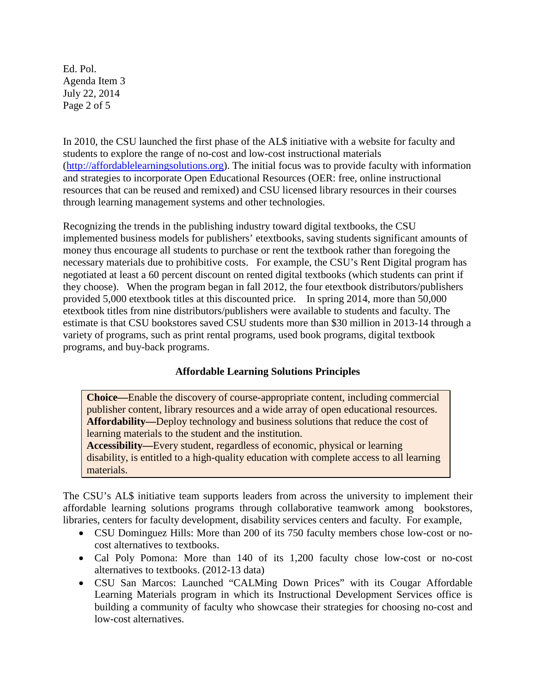Ed. Pol. Agenda Item 3 July 22, 2014 Page 2 of 5

In 2010, the CSU launched the first phase of the AL\$ initiative with a website for faculty and students to explore the range of no-cost and low-cost instructional materials [\(http://affordablelearningsolutions.org\)](http://affordablelearningsolutions.org/). The initial focus was to provide faculty with information and strategies to incorporate Open Educational Resources (OER: free, online instructional resources that can be reused and remixed) and CSU licensed library resources in their courses through learning management systems and other technologies.

Recognizing the trends in the publishing industry toward digital textbooks, the CSU implemented business models for publishers' etextbooks, saving students significant amounts of money thus encourage all students to purchase or rent the textbook rather than foregoing the necessary materials due to prohibitive costs. For example, the CSU's Rent Digital program has negotiated at least a 60 percent discount on rented digital textbooks (which students can print if they choose). When the program began in fall 2012, the four etextbook distributors/publishers provided 5,000 etextbook titles at this discounted price. In spring 2014, more than 50,000 etextbook titles from nine distributors/publishers were available to students and faculty. The estimate is that CSU bookstores saved CSU students more than \$30 million in 2013-14 through a variety of programs, such as print rental programs, used book programs, digital textbook programs, and buy-back programs.

# **Affordable Learning Solutions Principles**

**Choice—**Enable the discovery of course-appropriate content, including commercial publisher content, library resources and a wide array of open educational resources. **Affordability—**Deploy technology and business solutions that reduce the cost of learning materials to the student and the institution.

**Accessibility—**Every student, regardless of economic, physical or learning disability, is entitled to a high-quality education with complete access to all learning materials.

The CSU's AL\$ initiative team supports leaders from across the university to implement their affordable learning solutions programs through collaborative teamwork among bookstores, libraries, centers for faculty development, disability services centers and faculty. For example,

- CSU Dominguez Hills: More than 200 of its 750 faculty members chose low-cost or nocost alternatives to textbooks.
- Cal Poly Pomona: More than 140 of its 1,200 faculty chose low-cost or no-cost alternatives to textbooks. (2012-13 data)
- CSU San Marcos: Launched "CALMing Down Prices" with its Cougar Affordable Learning Materials program in which its Instructional Development Services office is building a community of faculty who showcase their strategies for choosing no-cost and low-cost alternatives.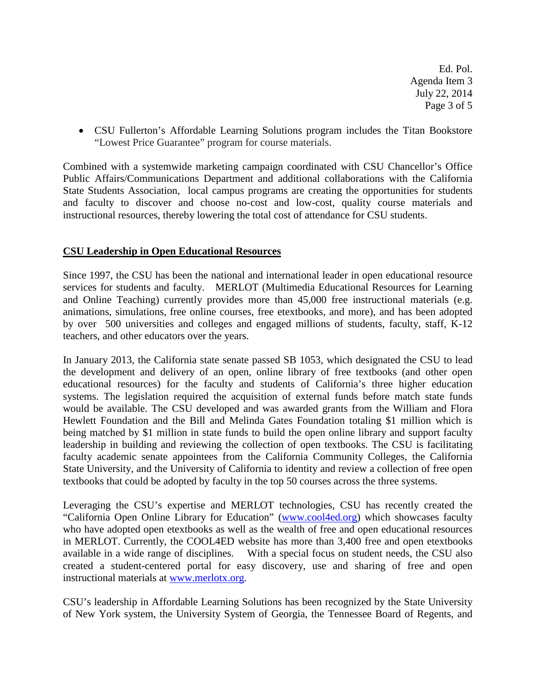Ed. Pol. Agenda Item 3 July 22, 2014 Page 3 of 5

• CSU Fullerton's Affordable Learning Solutions program includes the Titan Bookstore "Lowest Price Guarantee" program for course materials.

Combined with a systemwide marketing campaign coordinated with CSU Chancellor's Office Public Affairs/Communications Department and additional collaborations with the California State Students Association, local campus programs are creating the opportunities for students and faculty to discover and choose no-cost and low-cost, quality course materials and instructional resources, thereby lowering the total cost of attendance for CSU students.

## **CSU Leadership in Open Educational Resources**

Since 1997, the CSU has been the national and international leader in open educational resource services for students and faculty. MERLOT (Multimedia Educational Resources for Learning and Online Teaching) currently provides more than 45,000 free instructional materials (e.g. animations, simulations, free online courses, free etextbooks, and more), and has been adopted by over 500 universities and colleges and engaged millions of students, faculty, staff, K-12 teachers, and other educators over the years.

In January 2013, the California state senate passed SB 1053, which designated the CSU to lead the development and delivery of an open, online library of free textbooks (and other open educational resources) for the faculty and students of California's three higher education systems. The legislation required the acquisition of external funds before match state funds would be available. The CSU developed and was awarded grants from the William and Flora Hewlett Foundation and the Bill and Melinda Gates Foundation totaling \$1 million which is being matched by \$1 million in state funds to build the open online library and support faculty leadership in building and reviewing the collection of open textbooks. The CSU is facilitating faculty academic senate appointees from the California Community Colleges, the California State University, and the University of California to identity and review a collection of free open textbooks that could be adopted by faculty in the top 50 courses across the three systems.

Leveraging the CSU's expertise and MERLOT technologies, CSU has recently created the "California Open Online Library for Education" [\(www.cool4ed.org\)](http://www.cool4ed.org/) which showcases faculty who have adopted open etextbooks as well as the wealth of free and open educational resources in MERLOT. Currently, the COOL4ED website has more than 3,400 free and open etextbooks available in a wide range of disciplines. With a special focus on student needs, the CSU also created a student-centered portal for easy discovery, use and sharing of free and open instructional materials at [www.merlotx.org.](http://www.merlotx.org/)

CSU's leadership in Affordable Learning Solutions has been recognized by the State University of New York system, the University System of Georgia, the Tennessee Board of Regents, and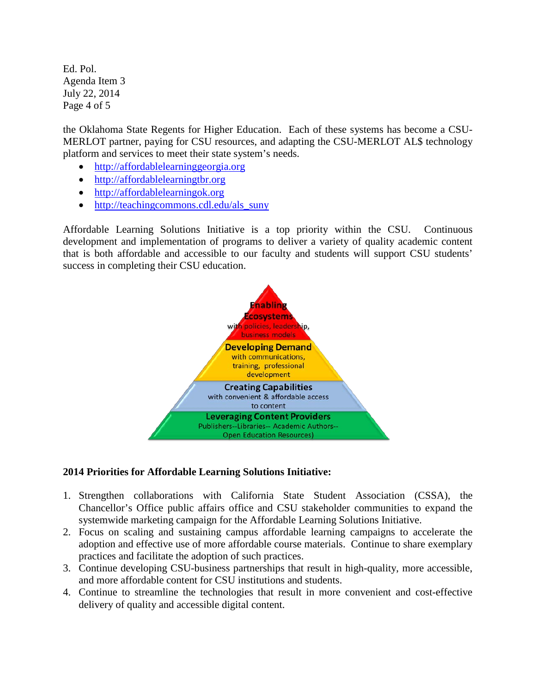Ed. Pol. Agenda Item 3 July 22, 2014 Page 4 of 5

the Oklahoma State Regents for Higher Education. Each of these systems has become a CSU-MERLOT partner, paying for CSU resources, and adapting the CSU-MERLOT AL\$ technology platform and services to meet their state system's needs.

- [http://affordablelearninggeorgia.org](http://affordablelearninggeorgia.org/)
- [http://affordablelearningtbr.org](http://affordablelearningtbr.org/)
- [http://affordablelearningok.org](http://affordablelearningok.org/)
- [http://teachingcommons.cdl.edu/als\\_suny](http://teachingcommons.cdl.edu/als_suny)

Affordable Learning Solutions Initiative is a top priority within the CSU. Continuous development and implementation of programs to deliver a variety of quality academic content that is both affordable and accessible to our faculty and students will support CSU students' success in completing their CSU education.



# **2014 Priorities for Affordable Learning Solutions Initiative:**

- 1. Strengthen collaborations with California State Student Association (CSSA), the Chancellor's Office public affairs office and CSU stakeholder communities to expand the systemwide marketing campaign for the Affordable Learning Solutions Initiative.
- 2. Focus on scaling and sustaining campus affordable learning campaigns to accelerate the adoption and effective use of more affordable course materials. Continue to share exemplary practices and facilitate the adoption of such practices.
- 3. Continue developing CSU-business partnerships that result in high-quality, more accessible, and more affordable content for CSU institutions and students.
- 4. Continue to streamline the technologies that result in more convenient and cost-effective delivery of quality and accessible digital content.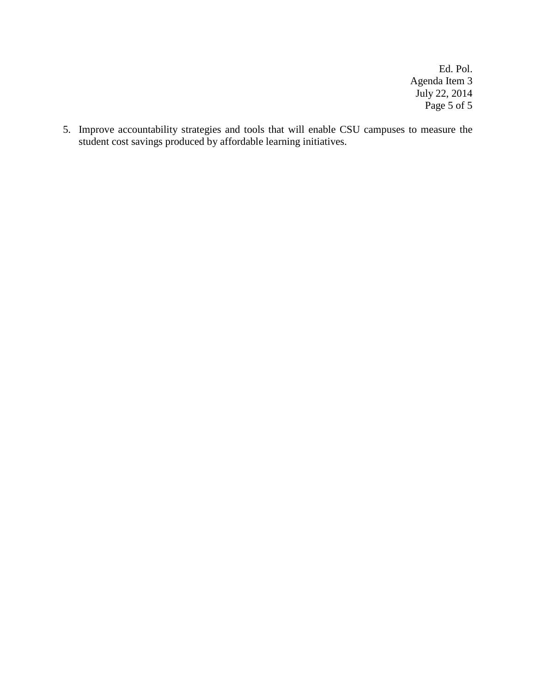Ed. Pol. Agenda Item 3 July 22, 2014 Page 5 of 5

5. Improve accountability strategies and tools that will enable CSU campuses to measure the student cost savings produced by affordable learning initiatives.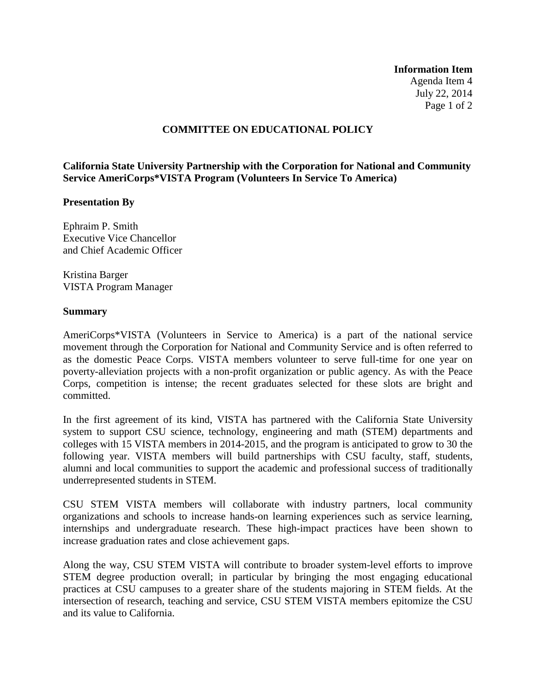**Information Item** Agenda Item 4 July 22, 2014 Page 1 of 2

## **COMMITTEE ON EDUCATIONAL POLICY**

**California State University Partnership with the Corporation for National and Community Service AmeriCorps\*VISTA Program (Volunteers In Service To America)**

### **Presentation By**

Ephraim P. Smith Executive Vice Chancellor and Chief Academic Officer

Kristina Barger VISTA Program Manager

### **Summary**

AmeriCorps\*VISTA (Volunteers in Service to America) is a part of the national service movement through the Corporation for National and Community Service and is often referred to as the domestic Peace Corps. VISTA members volunteer to serve full-time for one year on poverty-alleviation projects with a non-profit organization or public agency. As with the Peace Corps, competition is intense; the recent graduates selected for these slots are bright and committed.

In the first agreement of its kind, VISTA has partnered with the California State University system to support CSU science, technology, engineering and math (STEM) departments and colleges with 15 VISTA members in 2014-2015, and the program is anticipated to grow to 30 the following year. VISTA members will build partnerships with CSU faculty, staff, students, alumni and local communities to support the academic and professional success of traditionally underrepresented students in STEM.

CSU STEM VISTA members will collaborate with industry partners, local community organizations and schools to increase hands-on learning experiences such as service learning, internships and undergraduate research. These high-impact practices have been shown to increase graduation rates and close achievement gaps.

Along the way, CSU STEM VISTA will contribute to broader system-level efforts to improve STEM degree production overall; in particular by bringing the most engaging educational practices at CSU campuses to a greater share of the students majoring in STEM fields. At the intersection of research, teaching and service, CSU STEM VISTA members epitomize the CSU and its value to California.